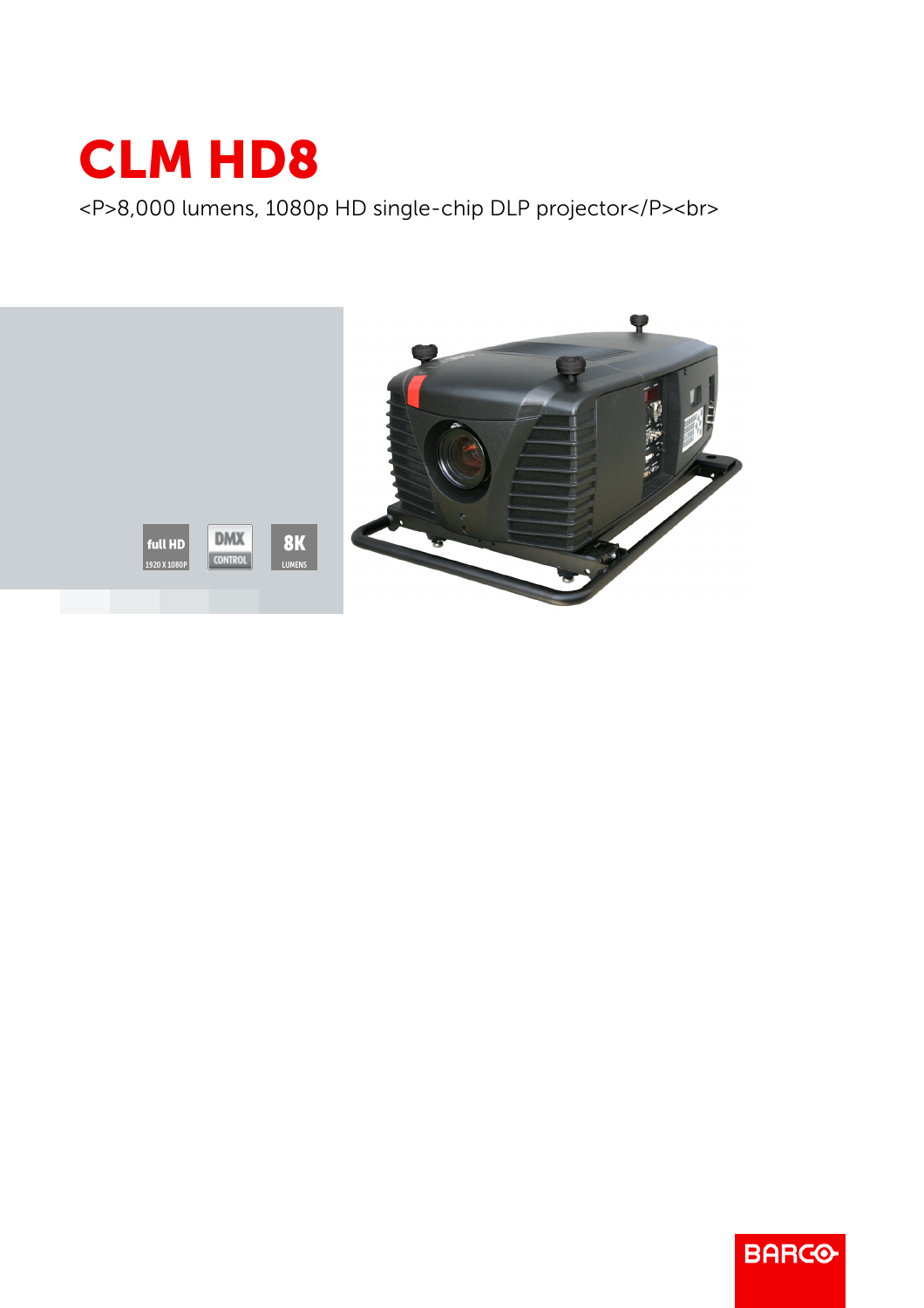

<P>8,000 lumens, 1080p HD single-chip DLP projector</P><br>



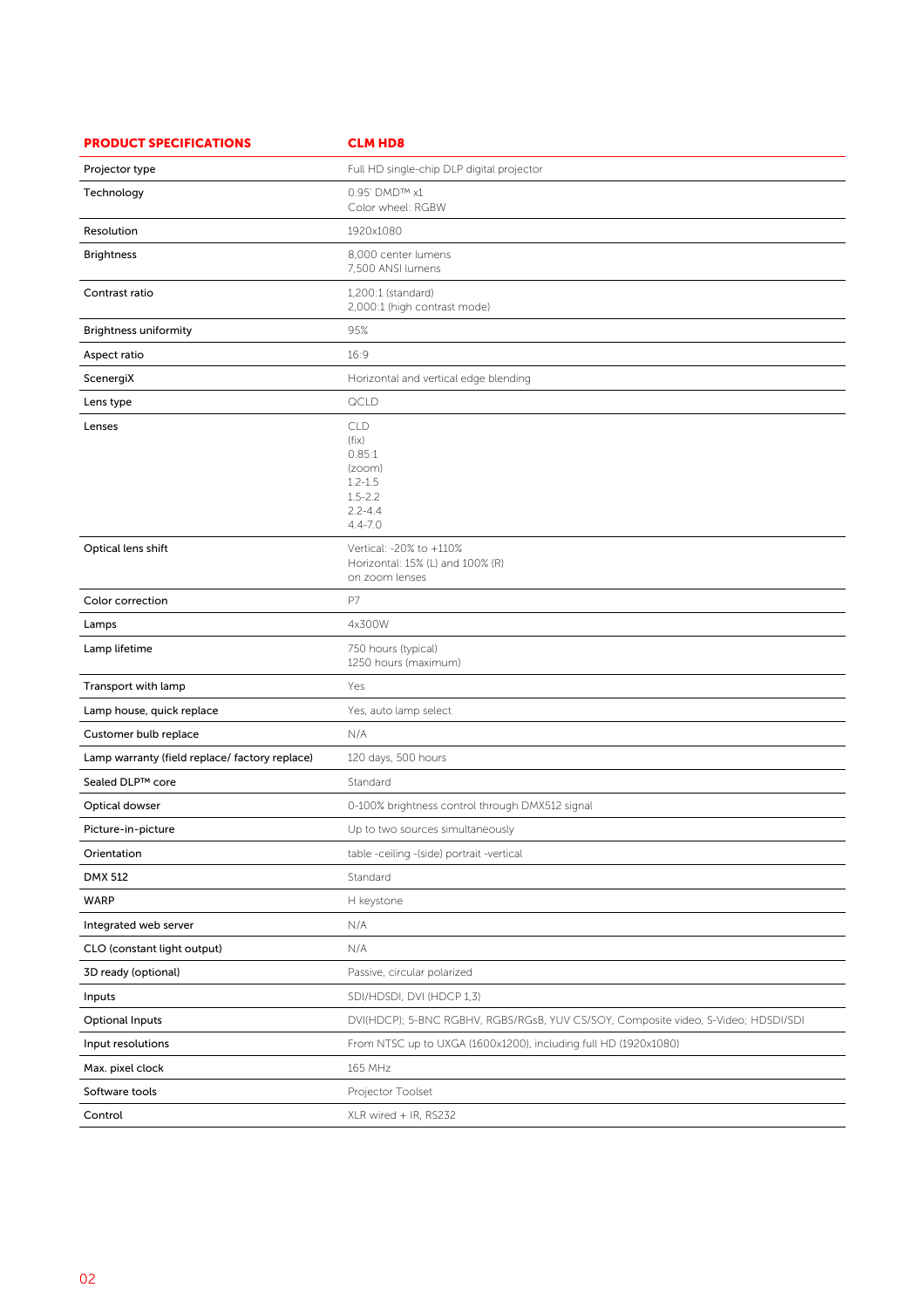| <b>PRODUCT SPECIFICATIONS</b>                  | <b>CLM HD8</b>                                                                                      |
|------------------------------------------------|-----------------------------------------------------------------------------------------------------|
| Projector type                                 | Full HD single-chip DLP digital projector                                                           |
| Technology                                     | 0.95' DMD™ x1<br>Color wheel: RGBW                                                                  |
| Resolution                                     | 1920x1080                                                                                           |
| <b>Brightness</b>                              | 8,000 center lumens<br>7,500 ANSI lumens                                                            |
| Contrast ratio                                 | 1,200:1 (standard)<br>2,000:1 (high contrast mode)                                                  |
| <b>Brightness uniformity</b>                   | 95%                                                                                                 |
| Aspect ratio                                   | 16:9                                                                                                |
| ScenergiX                                      | Horizontal and vertical edge blending                                                               |
| Lens type                                      | QCLD                                                                                                |
| Lenses                                         | <b>CLD</b><br>(fix)<br>0.85:1<br>(zoom)<br>$1.2 - 1.5$<br>$1.5 - 2.2$<br>$2.2 - 4.4$<br>$4.4 - 7.0$ |
| Optical lens shift                             | Vertical: -20% to +110%<br>Horizontal: 15% (L) and 100% (R)<br>on zoom lenses                       |
| Color correction                               | P7                                                                                                  |
| Lamps                                          | 4x300W                                                                                              |
| Lamp lifetime                                  | 750 hours (typical)<br>1250 hours (maximum)                                                         |
| Transport with lamp                            | Yes                                                                                                 |
| Lamp house, quick replace                      | Yes, auto lamp select                                                                               |
| Customer bulb replace                          | N/A                                                                                                 |
| Lamp warranty (field replace/ factory replace) | 120 days, 500 hours                                                                                 |
| Sealed DLP™ core                               | Standard                                                                                            |
| Optical dowser                                 | 0-100% brightness control through DMX512 signal                                                     |
| Picture-in-picture                             | Up to two sources simultaneously                                                                    |
| Orientation                                    | table -ceiling -(side) portrait -vertical                                                           |
| <b>DMX 512</b>                                 | Standard                                                                                            |
| WARP                                           | H keystone                                                                                          |
| Integrated web server                          | N/A                                                                                                 |
| CLO (constant light output)                    | N/A                                                                                                 |
| 3D ready (optional)                            | Passive, circular polarized                                                                         |
| Inputs                                         | SDI/HDSDI, DVI (HDCP 1,3)                                                                           |
| <b>Optional Inputs</b>                         | DVI(HDCP); 5-BNC RGBHV, RGBS/RGsB, YUV CS/SOY, Composite video, S-Video; HDSDI/SDI                  |
| Input resolutions                              | From NTSC up to UXGA (1600x1200), including full HD (1920x1080)                                     |
| Max. pixel clock                               | 165 MHz                                                                                             |
| Software tools                                 | Projector Toolset                                                                                   |
| Control                                        | XLR wired + IR, RS232                                                                               |